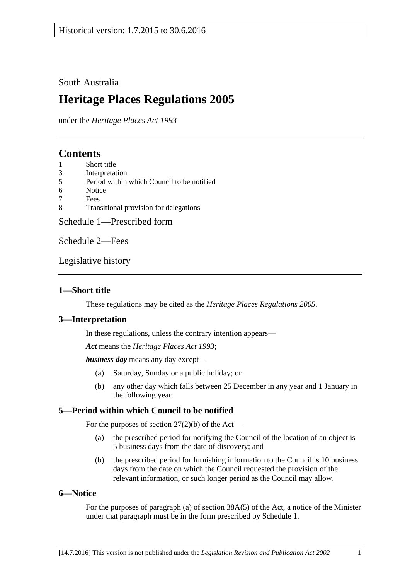### South Australia

# **Heritage Places Regulations 2005**

under the *Heritage Places Act 1993*

## **Contents**

- 1 [Short title](#page-0-0)
- 3 [Interpretation](#page-0-1)
- 5 [Period within which Council to be notified](#page-0-2)
- 6 [Notice](#page-0-3)
- 7 [Fees](#page-1-0)
- 8 [Transitional provision for delegations](#page-1-1)

[Schedule 1—Prescribed form](#page-2-0)

[Schedule 2—Fees](#page-4-0)

[Legislative history](#page-6-0)

### <span id="page-0-0"></span>**1—Short title**

These regulations may be cited as the *Heritage Places Regulations 2005*.

### <span id="page-0-1"></span>**3—Interpretation**

In these regulations, unless the contrary intention appears—

*Act* means the *[Heritage Places Act](http://www.legislation.sa.gov.au/index.aspx?action=legref&type=act&legtitle=Heritage%20Places%20Act%201993) 1993*;

*business day* means any day except—

- (a) Saturday, Sunday or a public holiday; or
- (b) any other day which falls between 25 December in any year and 1 January in the following year.

### <span id="page-0-2"></span>**5—Period within which Council to be notified**

For the purposes of section 27(2)(b) of the Act—

- (a) the prescribed period for notifying the Council of the location of an object is 5 business days from the date of discovery; and
- (b) the prescribed period for furnishing information to the Council is 10 business days from the date on which the Council requested the provision of the relevant information, or such longer period as the Council may allow.

### <span id="page-0-3"></span>**6—Notice**

For the purposes of paragraph (a) of section 38A(5) of the Act, a notice of the Minister under that paragraph must be in the form prescribed by [Schedule 1.](#page-2-0)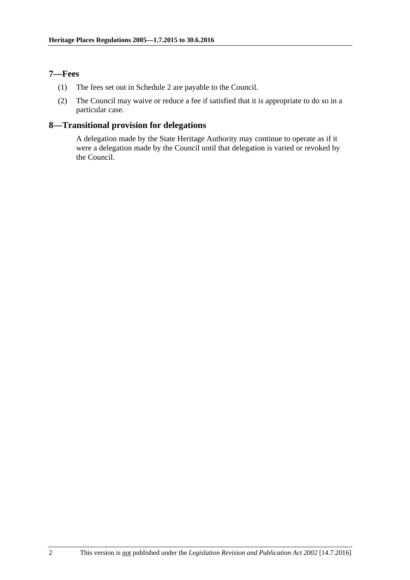### <span id="page-1-0"></span>**7—Fees**

- (1) The fees set out in Schedule 2 are payable to the Council.
- (2) The Council may waive or reduce a fee if satisfied that it is appropriate to do so in a particular case.

## <span id="page-1-1"></span>**8—Transitional provision for delegations**

A delegation made by the State Heritage Authority may continue to operate as if it were a delegation made by the Council until that delegation is varied or revoked by the Council.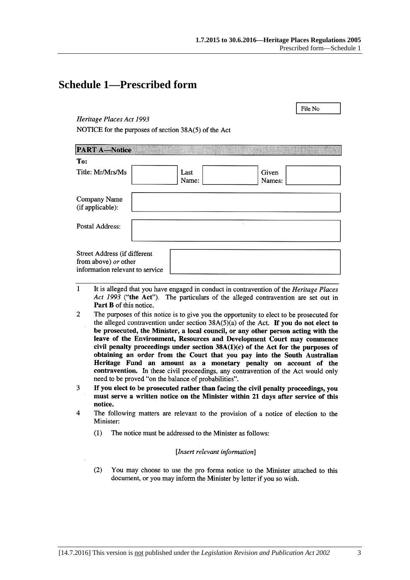File No

## <span id="page-2-0"></span>**Schedule 1—Prescribed form**

### Heritage Places Act 1993

NOTICE for the purposes of section 38A(5) of the Act

| <b>PART A-Notice</b>                                                                    |               |                 |  |
|-----------------------------------------------------------------------------------------|---------------|-----------------|--|
| To:                                                                                     |               |                 |  |
| Title: Mr/Mrs/Ms                                                                        | Last<br>Name: | Given<br>Names: |  |
| Company Name<br>(if applicable):                                                        |               |                 |  |
| Postal Address:                                                                         |               |                 |  |
| Street Address (if different<br>from above) or other<br>information relevant to service |               |                 |  |

- $\mathbf{1}$ It is alleged that you have engaged in conduct in contravention of the *Heritage Places* Act 1993 ("the Act"). The particulars of the alleged contravention are set out in Part B of this notice.
- $\overline{2}$ The purposes of this notice is to give you the opportunity to elect to be prosecuted for the alleged contravention under section  $38A(5)(a)$  of the Act. If you do not elect to be prosecuted, the Minister, a local council, or any other person acting with the leave of the Environment, Resources and Development Court may commence civil penalty proceedings under section  $38A(1)(c)$  of the Act for the purposes of obtaining an order from the Court that you pay into the South Australian Heritage Fund an amount as a monetary penalty on account of the contravention. In these civil proceedings, any contravention of the Act would only need to be proved "on the balance of probabilities".
- 3 If you elect to be prosecuted rather than facing the civil penalty proceedings, you must serve a written notice on the Minister within 21 days after service of this notice.
- $\overline{\mathbf{4}}$ The following matters are relevant to the provision of a notice of election to the Minister:
	- $(1)$ The notice must be addressed to the Minister as follows:

### [Insert relevant information]

 $(2)$ You may choose to use the pro forma notice to the Minister attached to this document, or you may inform the Minister by letter if you so wish.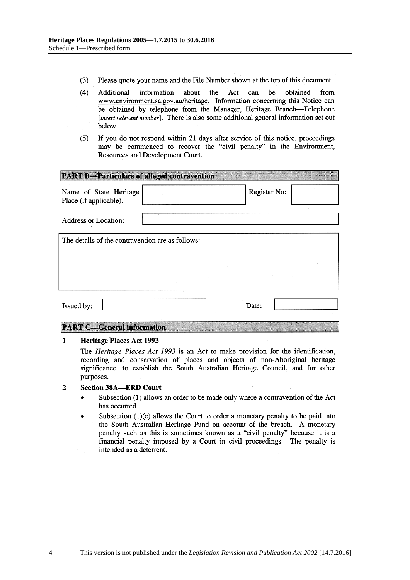- $(3)$ Please quote your name and the File Number shown at the top of this document.
- $(4)$ be Additional information about the Act can obtained from www.environment.sa.gov.au/heritage. Information concerning this Notice can be obtained by telephone from the Manager, Heritage Branch-Telephone [insert relevant number]. There is also some additional general information set out below.
- If you do not respond within 21 days after service of this notice, proceedings  $(5)$ may be commenced to recover the "civil penalty" in the Environment, Resources and Development Court.

| <b>PART B-Particulars of alleged contravention</b> |  |              |  |  |  |
|----------------------------------------------------|--|--------------|--|--|--|
| Name of State Heritage<br>Place (if applicable):   |  | Register No: |  |  |  |
| <b>Address or Location:</b>                        |  |              |  |  |  |
| The details of the contravention are as follows:   |  |              |  |  |  |
|                                                    |  |              |  |  |  |
|                                                    |  |              |  |  |  |
| Issued by:                                         |  | Date:        |  |  |  |

### **PART C-General information**

#### $\mathbf{1}$ **Heritage Places Act 1993**

The *Heritage Places Act 1993* is an Act to make provision for the identification, recording and conservation of places and objects of non-Aboriginal heritage significance, to establish the South Australian Heritage Council, and for other purposes.

#### $\overline{2}$ **Section 38A-ERD Court**

- Subsection (1) allows an order to be made only where a contravention of the Act  $\bullet$ has occurred.
- Subsection  $(1)(c)$  allows the Court to order a monetary penalty to be paid into the South Australian Heritage Fund on account of the breach. A monetary penalty such as this is sometimes known as a "civil penalty" because it is a financial penalty imposed by a Court in civil proceedings. The penalty is intended as a deterrent.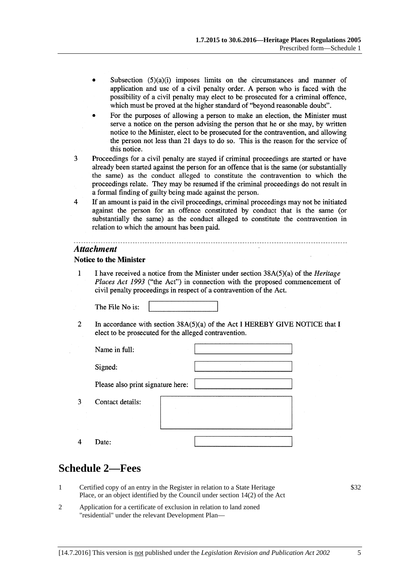- Subsection  $(5)(a)(i)$  imposes limits on the circumstances and manner of application and use of a civil penalty order. A person who is faced with the possibility of a civil penalty may elect to be prosecuted for a criminal offence, which must be proved at the higher standard of "beyond reasonable doubt".
- For the purposes of allowing a person to make an election, the Minister must serve a notice on the person advising the person that he or she may, by written notice to the Minister, elect to be prosecuted for the contravention, and allowing the person not less than 21 days to do so. This is the reason for the service of this notice.
- $\overline{3}$ Proceedings for a civil penalty are stayed if criminal proceedings are started or have already been started against the person for an offence that is the same (or substantially the same) as the conduct alleged to constitute the contravention to which the proceedings relate. They may be resumed if the criminal proceedings do not result in a formal finding of guilty being made against the person.
- $\overline{4}$ If an amount is paid in the civil proceedings, criminal proceedings may not be initiated against the person for an offence constituted by conduct that is the same (or substantially the same) as the conduct alleged to constitute the contravention in relation to which the amount has been paid.

### **Attachment**

### **Notice to the Minister**

 $\mathbf{1}$ I have received a notice from the Minister under section  $38A(5)(a)$  of the *Heritage* Places Act 1993 ("the Act") in connection with the proposed commencement of civil penalty proceedings in respect of a contravention of the Act.

The File No is:

 $\overline{2}$ In accordance with section  $38A(5)(a)$  of the Act I HEREBY GIVE NOTICE that I elect to be prosecuted for the alleged contravention.

| Name in full:                     |  |  |
|-----------------------------------|--|--|
| Signed:                           |  |  |
| Please also print signature here: |  |  |
| Contact details:                  |  |  |
|                                   |  |  |
| Date:                             |  |  |

### <span id="page-4-0"></span>**Schedule 2—Fees**

3

 $\overline{4}$ 

- 1 Certified copy of an entry in the Register in relation to a State Heritage Place, or an object identified by the Council under section 14(2) of the Act
- 2 Application for a certificate of exclusion in relation to land zoned "residential" under the relevant Development Plan—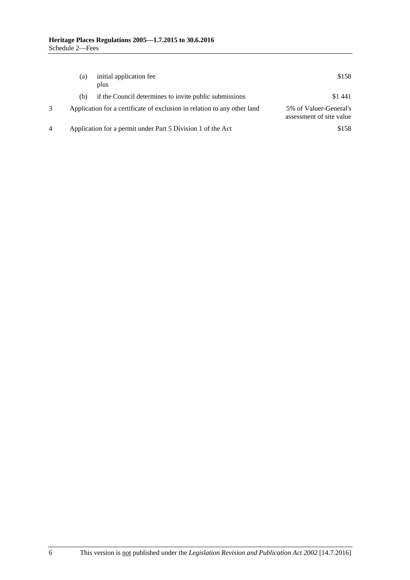| (a) | initial application fee<br>plus                                          | \$158                                              |
|-----|--------------------------------------------------------------------------|----------------------------------------------------|
| (b) | if the Council determines to invite public submissions                   | \$1441                                             |
|     | Application for a certificate of exclusion in relation to any other land | 5% of Valuer-General's<br>assessment of site value |
|     | Application for a permit under Part 5 Division 1 of the Act              | \$158                                              |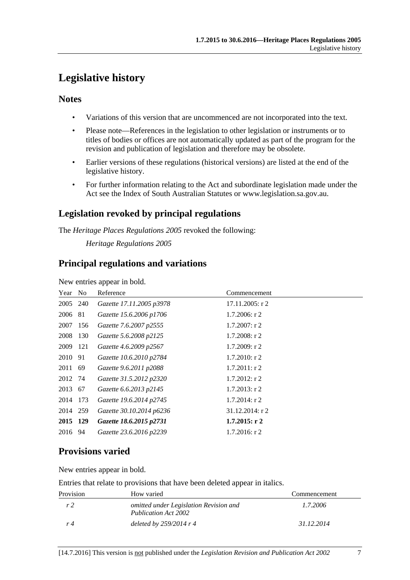# <span id="page-6-0"></span>**Legislative history**

### **Notes**

- Variations of this version that are uncommenced are not incorporated into the text.
- Please note—References in the legislation to other legislation or instruments or to titles of bodies or offices are not automatically updated as part of the program for the revision and publication of legislation and therefore may be obsolete.
- Earlier versions of these regulations (historical versions) are listed at the end of the legislative history.
- For further information relating to the Act and subordinate legislation made under the Act see the Index of South Australian Statutes or www.legislation.sa.gov.au.

### **Legislation revoked by principal regulations**

The *Heritage Places Regulations 2005* revoked the following:

*Heritage Regulations 2005*

### **Principal regulations and variations**

New entries appear in bold.

| Reference                                                                                                                                                     | Commencement       |
|---------------------------------------------------------------------------------------------------------------------------------------------------------------|--------------------|
| Gazette 17.11.2005 p3978                                                                                                                                      | $17.11.2005$ : r 2 |
| Gazette 15.6.2006 p1706                                                                                                                                       | $1.7.2006$ : r 2   |
| Gazette 7.6.2007 p2555                                                                                                                                        | $1.7.2007$ : r 2   |
| Gazette 5.6.2008 p2125                                                                                                                                        | $1.7.2008$ : r 2   |
| Gazette 4.6.2009 p2567                                                                                                                                        | $1.7.2009:$ r 2    |
| Gazette 10.6.2010 p2784                                                                                                                                       | $1.7.2010$ : r 2   |
| Gazette 9.6.2011 p2088                                                                                                                                        | $1.7.2011:$ r 2    |
| Gazette 31.5.2012 p2320                                                                                                                                       | $1.7.2012$ : r 2   |
| Gazette 6.6.2013 p2145                                                                                                                                        | $1.7.2013$ : r 2   |
| Gazette 19.6.2014 p2745                                                                                                                                       | $1.7.2014$ : r 2   |
| Gazette 30.10.2014 p6236                                                                                                                                      | 31.12.2014: r 2    |
| Gazette 18.6.2015 p2731                                                                                                                                       | $1.7.2015:$ r 2    |
| Gazette 23.6.2016 p2239                                                                                                                                       | $1.7.2016$ : r 2   |
| Year No<br>2005 240<br>2006 81<br>2007 156<br>2008 130<br>2009 121<br>2010 91<br>2011 69<br>2012 74<br>2013 67<br>2014 173<br>2014 259<br>2015 129<br>2016 94 |                    |

## **Provisions varied**

New entries appear in bold.

Entries that relate to provisions that have been deleted appear in italics.

| Provision | How varied                                                     | Commencement |
|-----------|----------------------------------------------------------------|--------------|
| r2        | omitted under Legislation Revision and<br>Publication Act 2002 | 1.7.2006     |
| r 4       | deleted by $259/2014$ r 4                                      | 31.12.2014   |